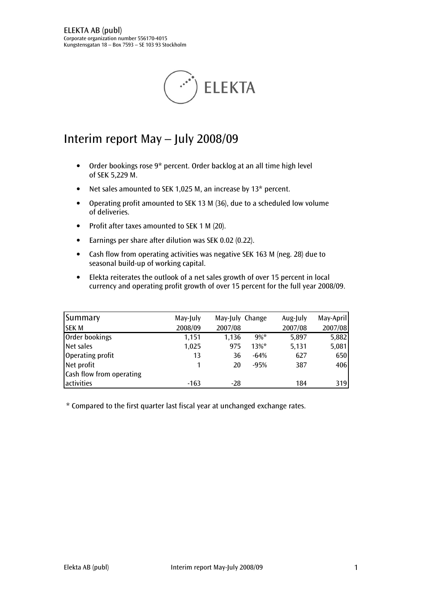

# Interim report May – July 2008/09

- Order bookings rose 9\* percent. Order backlog at an all time high level of SEK 5,229 M.
- Net sales amounted to SEK 1,025 M, an increase by 13\* percent.
- Operating profit amounted to SEK 13 M (36), due to a scheduled low volume of deliveries.
- Profit after taxes amounted to SEK 1 M (20).
- Earnings per share after dilution was SEK 0.02 (0.22).
- Cash flow from operating activities was negative SEK 163 M (neg. 28) due to seasonal build-up of working capital.
- Elekta reiterates the outlook of a net sales growth of over 15 percent in local currency and operating profit growth of over 15 percent for the full year 2008/09.

| Summary                  | May-July | May-July Change |          | Aug-July | May-April |
|--------------------------|----------|-----------------|----------|----------|-----------|
| <b>SEKM</b>              | 2008/09  | 2007/08         |          | 2007/08  | 2007/08   |
| Order bookings           | 1,151    | 1,136           | $9\% *$  | 5,897    | 5,882     |
| Net sales                | 1,025    | 975             | $13\%$ * | 5,131    | 5,081     |
| Operating profit         | 13       | 36              | $-64%$   | 627      | 650       |
| Net profit               |          | 20              | $-95%$   | 387      | 406       |
| Cash flow from operating |          |                 |          |          |           |
| activities               | $-163$   | $-28$           |          | 184      | 319       |

\* Compared to the first quarter last fiscal year at unchanged exchange rates.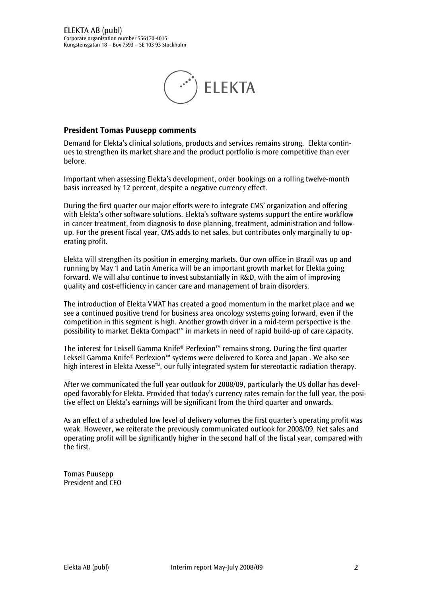

#### President Tomas Puusepp comments

Demand for Elekta's clinical solutions, products and services remains strong. Elekta continues to strengthen its market share and the product portfolio is more competitive than ever before.

Important when assessing Elekta's development, order bookings on a rolling twelve-month basis increased by 12 percent, despite a negative currency effect.

During the first quarter our major efforts were to integrate CMS' organization and offering with Elekta's other software solutions. Elekta's software systems support the entire workflow in cancer treatment, from diagnosis to dose planning, treatment, administration and followup. For the present fiscal year, CMS adds to net sales, but contributes only marginally to operating profit.

Elekta will strengthen its position in emerging markets. Our own office in Brazil was up and running by May 1 and Latin America will be an important growth market for Elekta going forward. We will also continue to invest substantially in R&D, with the aim of improving quality and cost-efficiency in cancer care and management of brain disorders.

The introduction of Elekta VMAT has created a good momentum in the market place and we see a continued positive trend for business area oncology systems going forward, even if the competition in this segment is high. Another growth driver in a mid-term perspective is the possibility to market Elekta Compact™ in markets in need of rapid build-up of care capacity.

The interest for Leksell Gamma Knife® Perfexion™ remains strong. During the first quarter Leksell Gamma Knife® Perfexion™ systems were delivered to Korea and Japan . We also see high interest in Elekta Axesse™, our fully integrated system for stereotactic radiation therapy.

After we communicated the full year outlook for 2008/09, particularly the US dollar has developed favorably for Elekta. Provided that today's currency rates remain for the full year, the positive effect on Elekta's earnings will be significant from the third quarter and onwards.

As an effect of a scheduled low level of delivery volumes the first quarter's operating profit was weak. However, we reiterate the previously communicated outlook for 2008/09. Net sales and operating profit will be significantly higher in the second half of the fiscal year, compared with the first.

Tomas Puusepp President and CEO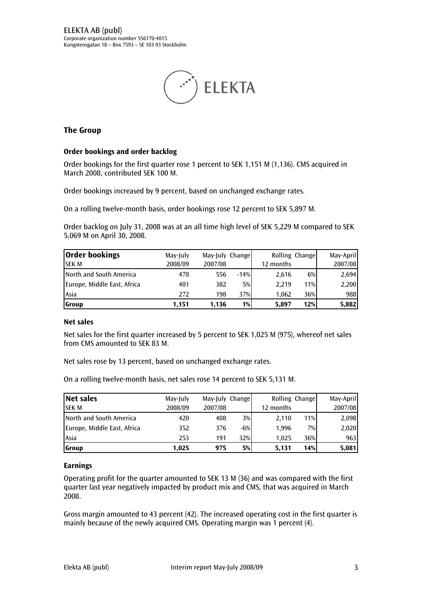

# The Group

#### Order bookings and order backlog

Order bookings for the first quarter rose 1 percent to SEK 1,151 M (1,136). CMS acquired in March 2008, contributed SEK 100 M.

Order bookings increased by 9 percent, based on unchanged exchange rates.

On a rolling twelve-month basis, order bookings rose 12 percent to SEK 5,897 M.

Order backlog on July 31, 2008 was at an all time high level of SEK 5,229 M compared to SEK 5,069 M on April 30, 2008.

| <b>Order bookings</b>       | May-July | May-July Change |        | Rolling Change |     | May-April |
|-----------------------------|----------|-----------------|--------|----------------|-----|-----------|
| <b>SEK M</b>                | 2008/09  | 2007/08         |        | 12 months      |     | 2007/08   |
| North and South America     | 478      | 556             | $-14%$ | 2.616          | 6%  | 2,694     |
| Europe, Middle East, Africa | 401      | 382             | 5%     | 2.219          | 11% | 2,200     |
| Asia                        | 272      | 198             | 37%    | 1.062          | 36% | 988       |
| <b>Group</b>                | 1.151    | 1.136           | 1%     | 5,897          | 12% | 5,882     |

#### Net sales

Net sales for the first quarter increased by 5 percent to SEK 1,025 M (975), whereof net sales from CMS amounted to SEK 83 M.

Net sales rose by 13 percent, based on unchanged exchange rates.

On a rolling twelve-month basis, net sales rose 14 percent to SEK 5,131 M.

| <b>Net sales</b>            | May-July | May-July Change |       | Rolling Change |     | May-April |
|-----------------------------|----------|-----------------|-------|----------------|-----|-----------|
| <b>SEK M</b>                | 2008/09  | 2007/08         |       | 12 months      |     | 2007/08   |
| North and South America     | 420      | 408             | 3%    | 2,110          | 11% | 2,098     |
| Europe, Middle East, Africa | 352      | 376             | $-6%$ | 1,996          | 7%  | 2,020     |
| Asia                        | 253      | 191             | 32%   | 1.025          | 36% | 9631      |
| <b>Group</b>                | 1.025    | 975             | 5%    | 5,131          | 14% | 5,081     |

#### Earnings

Operating profit for the quarter amounted to SEK 13 M (36) and was compared with the first quarter last year negatively impacted by product mix and CMS, that was acquired in March 2008.

Gross margin amounted to 43 percent (42). The increased operating cost in the first quarter is mainly because of the newly acquired CMS. Operating margin was 1 percent (4).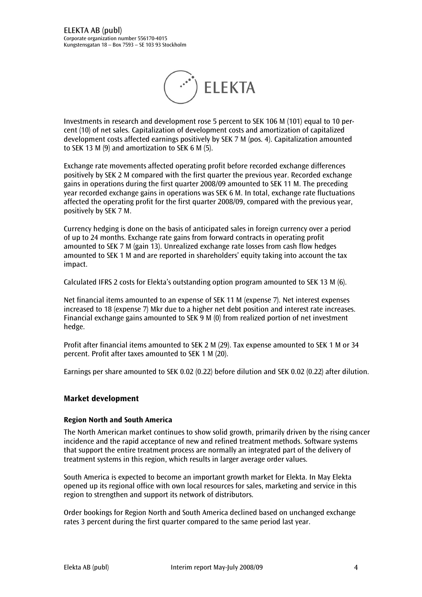

Investments in research and development rose 5 percent to SEK 106 M (101) equal to 10 percent (10) of net sales. Capitalization of development costs and amortization of capitalized development costs affected earnings positively by SEK 7 M (pos. 4). Capitalization amounted to SEK 13 M (9) and amortization to SEK 6 M (5).

Exchange rate movements affected operating profit before recorded exchange differences positively by SEK 2 M compared with the first quarter the previous year. Recorded exchange gains in operations during the first quarter 2008/09 amounted to SEK 11 M. The preceding year recorded exchange gains in operations was SEK 6 M. In total, exchange rate fluctuations affected the operating profit for the first quarter 2008/09, compared with the previous year, positively by SEK 7 M.

Currency hedging is done on the basis of anticipated sales in foreign currency over a period of up to 24 months. Exchange rate gains from forward contracts in operating profit amounted to SEK 7 M (gain 13). Unrealized exchange rate losses from cash flow hedges amounted to SEK 1 M and are reported in shareholders' equity taking into account the tax impact.

Calculated IFRS 2 costs for Elekta's outstanding option program amounted to SEK 13 M (6).

Net financial items amounted to an expense of SEK 11 M (expense 7). Net interest expenses increased to 18 (expense 7) Mkr due to a higher net debt position and interest rate increases. Financial exchange gains amounted to SEK 9 M (0) from realized portion of net investment hedge.

Profit after financial items amounted to SEK 2 M (29). Tax expense amounted to SEK 1 M or 34 percent. Profit after taxes amounted to SEK 1 M (20).

Earnings per share amounted to SEK 0.02 (0.22) before dilution and SEK 0.02 (0.22) after dilution.

#### Market development

#### Region North and South America

The North American market continues to show solid growth, primarily driven by the rising cancer incidence and the rapid acceptance of new and refined treatment methods. Software systems that support the entire treatment process are normally an integrated part of the delivery of treatment systems in this region, which results in larger average order values.

South America is expected to become an important growth market for Elekta. In May Elekta opened up its regional office with own local resources for sales, marketing and service in this region to strengthen and support its network of distributors.

Order bookings for Region North and South America declined based on unchanged exchange rates 3 percent during the first quarter compared to the same period last year.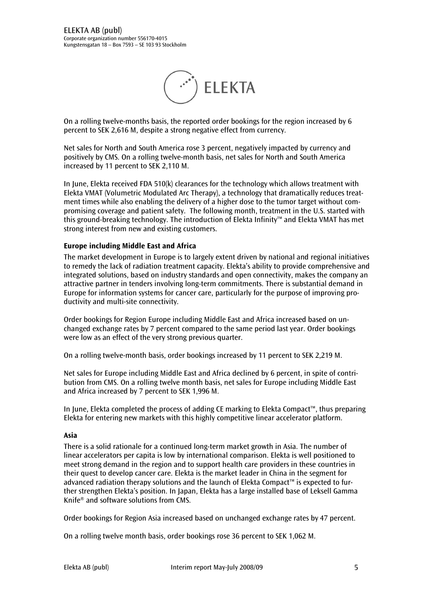

On a rolling twelve-months basis, the reported order bookings for the region increased by 6 percent to SEK 2,616 M, despite a strong negative effect from currency.

Net sales for North and South America rose 3 percent, negatively impacted by currency and positively by CMS. On a rolling twelve-month basis, net sales for North and South America increased by 11 percent to SEK 2,110 M.

In June, Elekta received FDA 510(k) clearances for the technology which allows treatment with Elekta VMAT (Volumetric Modulated Arc Therapy), a technology that dramatically reduces treatment times while also enabling the delivery of a higher dose to the tumor target without compromising coverage and patient safety. The following month, treatment in the U.S. started with this ground-breaking technology. The introduction of Elekta Infinity™ and Elekta VMAT has met strong interest from new and existing customers.

#### Europe including Middle East and Africa

The market development in Europe is to largely extent driven by national and regional initiatives to remedy the lack of radiation treatment capacity. Elekta's ability to provide comprehensive and integrated solutions, based on industry standards and open connectivity, makes the company an attractive partner in tenders involving long-term commitments. There is substantial demand in Europe for information systems for cancer care, particularly for the purpose of improving productivity and multi-site connectivity.

Order bookings for Region Europe including Middle East and Africa increased based on unchanged exchange rates by 7 percent compared to the same period last year. Order bookings were low as an effect of the very strong previous quarter.

On a rolling twelve-month basis, order bookings increased by 11 percent to SEK 2,219 M.

Net sales for Europe including Middle East and Africa declined by 6 percent, in spite of contribution from CMS. On a rolling twelve month basis, net sales for Europe including Middle East and Africa increased by 7 percent to SEK 1,996 M.

In June, Elekta completed the process of adding CE marking to Elekta Compact™, thus preparing Elekta for entering new markets with this highly competitive linear accelerator platform.

#### Asia

There is a solid rationale for a continued long-term market growth in Asia. The number of linear accelerators per capita is low by international comparison. Elekta is well positioned to meet strong demand in the region and to support health care providers in these countries in their quest to develop cancer care. Elekta is the market leader in China in the segment for advanced radiation therapy solutions and the launch of Elekta Compact™ is expected to further strengthen Elekta's position. In Japan, Elekta has a large installed base of Leksell Gamma Knife® and software solutions from CMS.

Order bookings for Region Asia increased based on unchanged exchange rates by 47 percent.

On a rolling twelve month basis, order bookings rose 36 percent to SEK 1,062 M.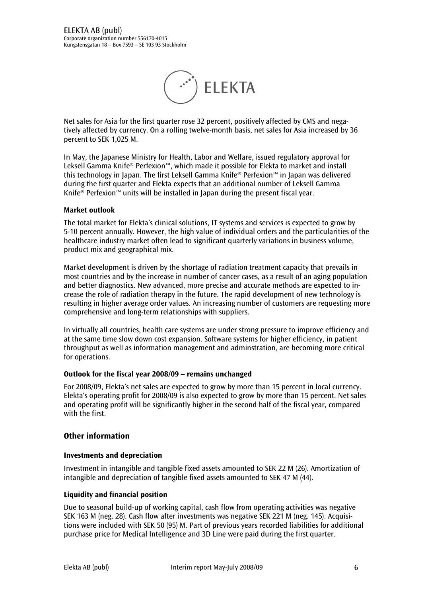

Net sales for Asia for the first quarter rose 32 percent, positively affected by CMS and negatively affected by currency. On a rolling twelve-month basis, net sales for Asia increased by 36 percent to SEK 1,025 M.

In May, the Japanese Ministry for Health, Labor and Welfare, issued regulatory approval for Leksell Gamma Knife® Perfexion™, which made it possible for Elekta to market and install this technology in Japan. The first Leksell Gamma Knife® Perfexion™ in Japan was delivered during the first quarter and Elekta expects that an additional number of Leksell Gamma Knife® Perfexion™ units will be installed in Japan during the present fiscal year.

#### Market outlook

The total market for Elekta's clinical solutions, IT systems and services is expected to grow by 5-10 percent annually. However, the high value of individual orders and the particularities of the healthcare industry market often lead to significant quarterly variations in business volume, product mix and geographical mix.

Market development is driven by the shortage of radiation treatment capacity that prevails in most countries and by the increase in number of cancer cases, as a result of an aging population and better diagnostics. New advanced, more precise and accurate methods are expected to increase the role of radiation therapy in the future. The rapid development of new technology is resulting in higher average order values. An increasing number of customers are requesting more comprehensive and long-term relationships with suppliers.

In virtually all countries, health care systems are under strong pressure to improve efficiency and at the same time slow down cost expansion. Software systems for higher efficiency, in patient throughput as well as information management and adminstration, are becoming more critical for operations.

#### Outlook for the fiscal year 2008/09 – remains unchanged

For 2008/09, Elekta's net sales are expected to grow by more than 15 percent in local currency. Elekta's operating profit for 2008/09 is also expected to grow by more than 15 percent. Net sales and operating profit will be significantly higher in the second half of the fiscal year, compared with the first.

# Other information

#### Investments and depreciation

Investment in intangible and tangible fixed assets amounted to SEK 22 M (26). Amortization of intangible and depreciation of tangible fixed assets amounted to SEK 47 M (44).

#### Liquidity and financial position

Due to seasonal build-up of working capital, cash flow from operating activities was negative SEK 163 M (neg. 28). Cash flow after investments was negative SEK 221 M (neg. 145). Acquisitions were included with SEK 50 (95) M. Part of previous years recorded liabilities for additional purchase price for Medical Intelligence and 3D Line were paid during the first quarter.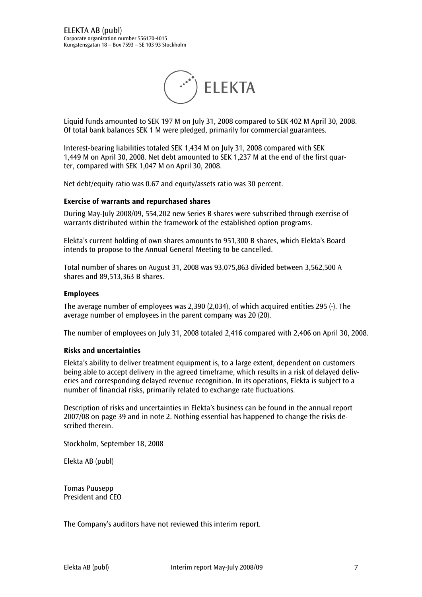

Liquid funds amounted to SEK 197 M on July 31, 2008 compared to SEK 402 M April 30, 2008. Of total bank balances SEK 1 M were pledged, primarily for commercial guarantees.

Interest-bearing liabilities totaled SEK 1,434 M on July 31, 2008 compared with SEK 1,449 M on April 30, 2008. Net debt amounted to SEK 1,237 M at the end of the first quarter, compared with SEK 1,047 M on April 30, 2008.

Net debt/equity ratio was 0.67 and equity/assets ratio was 30 percent.

#### Exercise of warrants and repurchased shares

During May-July 2008/09, 554,202 new Series B shares were subscribed through exercise of warrants distributed within the framework of the established option programs.

Elekta's current holding of own shares amounts to 951,300 B shares, which Elekta's Board intends to propose to the Annual General Meeting to be cancelled.

Total number of shares on August 31, 2008 was 93,075,863 divided between 3,562,500 A shares and 89,513,363 B shares.

#### Employees

The average number of employees was 2,390 (2,034), of which acquired entities 295 (-). The average number of employees in the parent company was 20 (20).

The number of employees on July 31, 2008 totaled 2,416 compared with 2,406 on April 30, 2008.

#### Risks and uncertainties

Elekta's ability to deliver treatment equipment is, to a large extent, dependent on customers being able to accept delivery in the agreed timeframe, which results in a risk of delayed deliveries and corresponding delayed revenue recognition. In its operations, Elekta is subject to a number of financial risks, primarily related to exchange rate fluctuations.

Description of risks and uncertainties in Elekta's business can be found in the annual report 2007/08 on page 39 and in note 2. Nothing essential has happened to change the risks described therein.

Stockholm, September 18, 2008

Elekta AB (publ)

Tomas Puusepp President and CEO

The Company's auditors have not reviewed this interim report.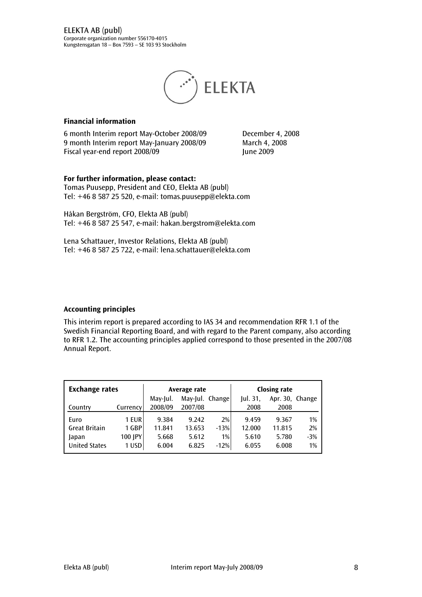

#### Financial information

6 month Interim report May-October 2008/09 December 4, 2008 9 month Interim report May-January 2008/09 March 4, 2008 Fiscal year-end report 2008/09 June 2009

For further information, please contact: Tomas Puusepp, President and CEO, Elekta AB (publ) Tel: +46 8 587 25 520, e-mail: tomas.puusepp@elekta.com

Håkan Bergström, CFO, Elekta AB (publ) Tel: +46 8 587 25 547, e-mail: hakan.bergstrom@elekta.com

Lena Schattauer, Investor Relations, Elekta AB (publ) Tel: +46 8 587 25 722, e-mail: lena.schattauer@elekta.com

#### Accounting principles

This interim report is prepared according to IAS 34 and recommendation RFR 1.1 of the Swedish Financial Reporting Board, and with regard to the Parent company, also according to RFR 1.2. The accounting principles applied correspond to those presented in the 2007/08 Annual Report.

| <b>Exchange rates</b> |          | Average rate |                 |        | <b>Closing rate</b> |                 |       |
|-----------------------|----------|--------------|-----------------|--------|---------------------|-----------------|-------|
|                       |          | May-Jul.     | May-Jul. Change |        | ul. 31,             | Apr. 30, Change |       |
| Country               | Currency | 2008/09      | 2007/08         |        | 2008                | 2008            |       |
| Euro                  | 1 EUR    | 9.384        | 9.242           | 2%     | 9.459               | 9.367           | 1%    |
| <b>Great Britain</b>  | 1 GBP    | 11.841       | 13.653          | $-13%$ | 12.000              | 11.815          | 2%    |
| Japan                 | 100 JPY  | 5.668        | 5.612           | 1%     | 5.610               | 5.780           | $-3%$ |
| <b>United States</b>  | $1$ USD  | 6.004        | 6.825           | $-12%$ | 6.055               | 6.008           | 1%    |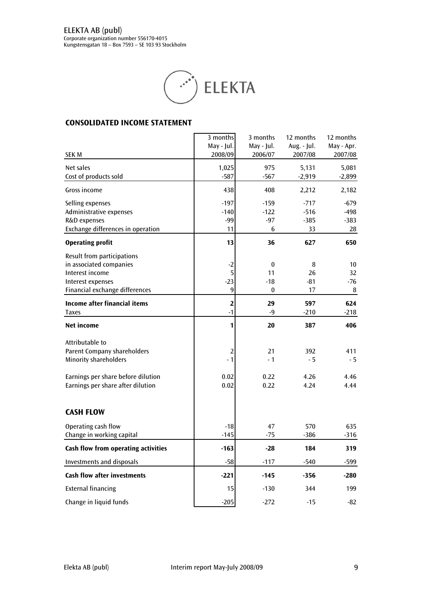

# CONSOLIDATED INCOME STATEMENT

|                                                                                                                                                                  | 3 months<br>May - Jul.                 | 3 months<br>May - Jul.                      | 12 months<br>Aug. - Jul.         | 12 months<br>May - Apr.          |
|------------------------------------------------------------------------------------------------------------------------------------------------------------------|----------------------------------------|---------------------------------------------|----------------------------------|----------------------------------|
| <b>SEK M</b>                                                                                                                                                     | 2008/09                                | 2006/07                                     | 2007/08                          | 2007/08                          |
| Net sales<br>Cost of products sold                                                                                                                               | 1,025<br>$-587$                        | 975<br>$-567$                               | 5,131<br>$-2,919$                | 5,081<br>$-2,899$                |
| Gross income                                                                                                                                                     | 438                                    | 408                                         | 2,212                            | 2,182                            |
| Selling expenses<br>Administrative expenses<br>R&D expenses<br>Exchange differences in operation                                                                 | $-197$<br>$-140$<br>$-99$<br>11        | $-159$<br>$-122$<br>$-97$<br>6              | $-717$<br>$-516$<br>$-385$<br>33 | $-679$<br>$-498$<br>$-383$<br>28 |
| <b>Operating profit</b>                                                                                                                                          | 13                                     | 36                                          | 627                              | 650                              |
| Result from participations<br>in associated companies<br>Interest income<br>Interest expenses<br>Financial exchange differences                                  | $-2$<br>5<br>$-23$<br>9                | $\bf{0}$<br>11<br>$-18$<br>$\boldsymbol{0}$ | 8<br>26<br>$-81$<br>17           | 10<br>32<br>$-76$<br>8           |
| <b>Income after financial items</b><br><b>Taxes</b>                                                                                                              | $\overline{\mathbf{2}}$<br>$-1$        | 29<br>$-9$                                  | 597<br>$-210$                    | 624<br>$-218$                    |
| <b>Net income</b>                                                                                                                                                | 1                                      | 20                                          | 387                              | 406                              |
| Attributable to<br><b>Parent Company shareholders</b><br><b>Minority shareholders</b><br>Earnings per share before dilution<br>Earnings per share after dilution | $\overline{2}$<br>$-1$<br>0.02<br>0.02 | 21<br>$-1$<br>0.22<br>0.22                  | 392<br>- 5<br>4.26<br>4.24       | 411<br>- 5<br>4.46<br>4.44       |
| <b>CASH FLOW</b>                                                                                                                                                 |                                        |                                             |                                  |                                  |
| Operating cash flow<br>Change in working capital                                                                                                                 | $-18$<br>$-145$                        | 47<br>$-75$                                 | 570<br>$-386$                    | 635<br>$-316$                    |
| Cash flow from operating activities                                                                                                                              | $-163$                                 | $-28$                                       | 184                              | 319                              |
| <b>Investments and disposals</b>                                                                                                                                 | $-58$                                  | $-117$                                      | $-540$                           | -599                             |
| <b>Cash flow after investments</b>                                                                                                                               | $-221$                                 | $-145$                                      | $-356$                           | $-280$                           |
| <b>External financing</b>                                                                                                                                        | 15                                     | $-130$                                      | 344                              | 199                              |
| Change in liquid funds                                                                                                                                           | $-205$                                 | $-272$                                      | $-15$                            | $-82$                            |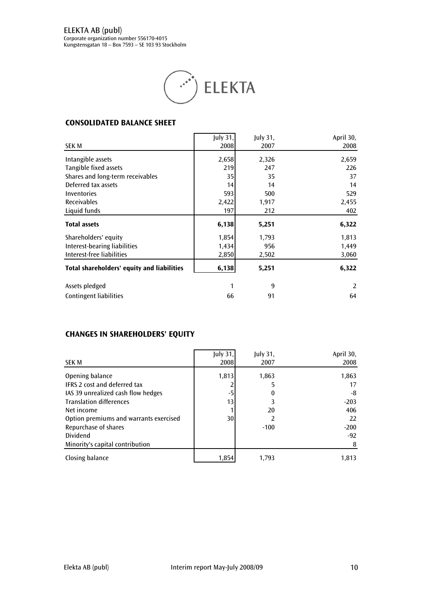

#### CONSOLIDATED BALANCE SHEET

|                                            | July $31,$ | July 31, | April 30, |
|--------------------------------------------|------------|----------|-----------|
| SEK M                                      | 2008       | 2007     | 2008      |
| Intangible assets                          | 2,658      | 2,326    | 2,659     |
| Tangible fixed assets                      | 219        | 247      | 226       |
| Shares and long-term receivables           | 35         | 35       | 37        |
| Deferred tax assets                        | 14         | 14       | 14        |
| Inventories                                | 593        | 500      | 529       |
| <b>Receivables</b>                         | 2,422      | 1,917    | 2,455     |
| Liquid funds                               | 197        | 212      | 402       |
| <b>Total assets</b>                        | 6,138      | 5,251    | 6,322     |
| Shareholders' equity                       | 1,854      | 1,793    | 1,813     |
| Interest-bearing liabilities               | 1,434      | 956      | 1,449     |
| Interest-free liabilities                  | 2,850      | 2,502    | 3,060     |
| Total shareholders' equity and liabilities | 6,138      | 5,251    | 6,322     |
| Assets pledged                             | 1          | 9        | 2         |
|                                            |            |          |           |

# CHANGES IN SHAREHOLDERS' EQUITY

|                                        | <b>July 31,</b> | July 31, | April 30, |
|----------------------------------------|-----------------|----------|-----------|
| <b>SEK M</b>                           | 2008            | 2007     | 2008      |
| Opening balance                        | 1,813           | 1,863    | 1,863     |
| <b>IFRS 2 cost and deferred tax</b>    |                 | 5        | 17        |
| IAS 39 unrealized cash flow hedges     | -5              | $\bf{0}$ | -8        |
| <b>Translation differences</b>         | 13              |          | $-203$    |
| Net income                             |                 | 20       | 406       |
| Option premiums and warrants exercised | 30              |          | 22        |
| Repurchase of shares                   |                 | $-100$   | $-200$    |
| Dividend                               |                 |          | $-92$     |
| Minority's capital contribution        |                 |          | 8         |
| Closing balance                        | 1,854           | 1.793    | 1,813     |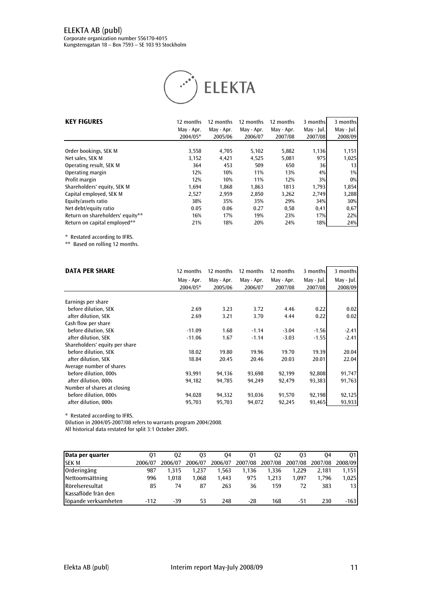# ELEKTA AB (publ)

Corporate organization number 556170-4015 Kungstensgatan 18 – Box 7593 – SE 103 93 Stockholm



| <b>KEY FIGURES</b>               | 12 months<br>May - Apr.<br>2004/05* | 12 months<br>May - Apr.<br>2005/06 | 12 months<br>May - Apr.<br>2006/07 | 12 months<br>May - Apr.<br>2007/08 | 3 months<br>May - Jul.<br>2007/08 | 3 months<br>May - Jul.<br>2008/09 |
|----------------------------------|-------------------------------------|------------------------------------|------------------------------------|------------------------------------|-----------------------------------|-----------------------------------|
| Order bookings, SEK M            | 3,558                               | 4.705                              | 5,102                              | 5,882                              | 1,136                             | 1,151                             |
| Net sales, SEK M                 | 3,152                               | 4,421                              | 4,525                              | 5,081                              | 975                               | 1,025                             |
| Operating result, SEK M          | 364                                 | 453                                | 509                                | 650                                | 36                                | 13                                |
| Operating margin                 | 12%                                 | 10%                                | 11%                                | 13%                                | 4%                                | 1%                                |
| Profit margin                    | 12%                                 | 10%                                | 11%                                | 12%                                | 3%                                | $0\%$                             |
| Shareholders' equity, SEK M      | 1.694                               | 1.868                              | 1.863                              | 1813                               | 1,793                             | 1,854                             |
| Capital employed, SEK M          | 2,527                               | 2,959                              | 2.850                              | 3,262                              | 2,749                             | 3,288                             |
| Equity/assets ratio              | 38%                                 | 35%                                | 35%                                | 29%                                | 34%                               | 30%                               |
| Net debt/equity ratio            | 0.05                                | 0.06                               | 0.27                               | 0,58                               | 0,41                              | 0,67                              |
| Return on shareholders' equity** | 16%                                 | 17%                                | 19%                                | 23%                                | 17%                               | 22%                               |
| Return on capital employed**     | 21%                                 | 18%                                | 20%                                | 24%                                | 18%                               | 24%                               |

\* Restated according to IFRS.

\*\* Based on rolling 12 months.

| <b>DATA PER SHARE</b>          | 12 months  | 12 months  | 12 months  | 12 months  | 3 months   | 3 months   |
|--------------------------------|------------|------------|------------|------------|------------|------------|
|                                | May - Apr. | May - Apr. | May - Apr. | May - Apr. | May - Jul. | May - Jul. |
|                                | 2004/05*   | 2005/06    | 2006/07    | 2007/08    | 2007/08    | 2008/09    |
| Earnings per share             |            |            |            |            |            |            |
| before dilution, SEK           | 2.69       | 3.23       | 3.72       | 4.46       | 0.22       | 0.02       |
| after dilution. SEK            | 2.69       | 3.21       | 3.70       | 4.44       | 0.22       | 0.02       |
|                                |            |            |            |            |            |            |
| Cash flow per share            |            |            |            |            |            |            |
| before dilution, SEK           | $-11.09$   | 1.68       | $-1.14$    | $-3.04$    | $-1.56$    | $-2.41$    |
| after dilution, SEK            | $-11.06$   | 1.67       | $-1.14$    | $-3.03$    | $-1.55$    | $-2.41$    |
| Shareholders' equity per share |            |            |            |            |            |            |
| before dilution, SEK           | 18.02      | 19.80      | 19.96      | 19.70      | 19.39      | 20.04      |
| after dilution. SEK            | 18.84      | 20.45      | 20.46      | 20.03      | 20.01      | 22.04      |
| Average number of shares       |            |            |            |            |            |            |
| before dilution, 000s          | 93,991     | 94,136     | 93,698     | 92,199     | 92,808     | 91,747     |
| after dilution, 000s           | 94,182     | 94,785     | 94,249     | 92,479     | 93,383     | 91,763     |
| Number of shares at closing    |            |            |            |            |            |            |
| before dilution, 000s          | 94,028     | 94,332     | 93,036     | 91,570     | 92,198     | 92,125     |
| after dilution, 000s           | 95,703     | 95,703     | 94,072     | 92,245     | 93,465     | 93,933     |

\* Restated according to IFRS.

Dilution in 2004/05-2007/08 refers to warrants program 2004/2008.

All historical data restated for split 3:1 October 2005.

| Data per quarter     | 01      | 02      | 03      | 04      | 01      | 02      | 03      | 04      | 01              |
|----------------------|---------|---------|---------|---------|---------|---------|---------|---------|-----------------|
| <b>SEK M</b>         | 2006/07 | 2006/07 | 2006/07 | 2006/07 | 2007/08 | 2007/08 | 2007/08 | 2007/08 | 2008/09         |
| Orderingång          | 987     | 1.315   | 1.237   | 1,563   | 1.136   | 1.336   | 1.229   | 2.181   | 1.151           |
| Nettoomsättning      | 996     | 1.018   | 1.068   | 1.443   | 975     | 1.213   | 1.097   | 1.796   | 1,025           |
| Rörelseresultat      | 85      | 74      | 87      | 263     | 36      | 159     |         | 383     | 13 <sup>l</sup> |
| Kassaflöde från den  |         |         |         |         |         |         |         |         |                 |
| löpande verksamheten | $-112$  | -39     | 53      | 248     | $-28$   | 168     | -51     | 230     | $-163$          |